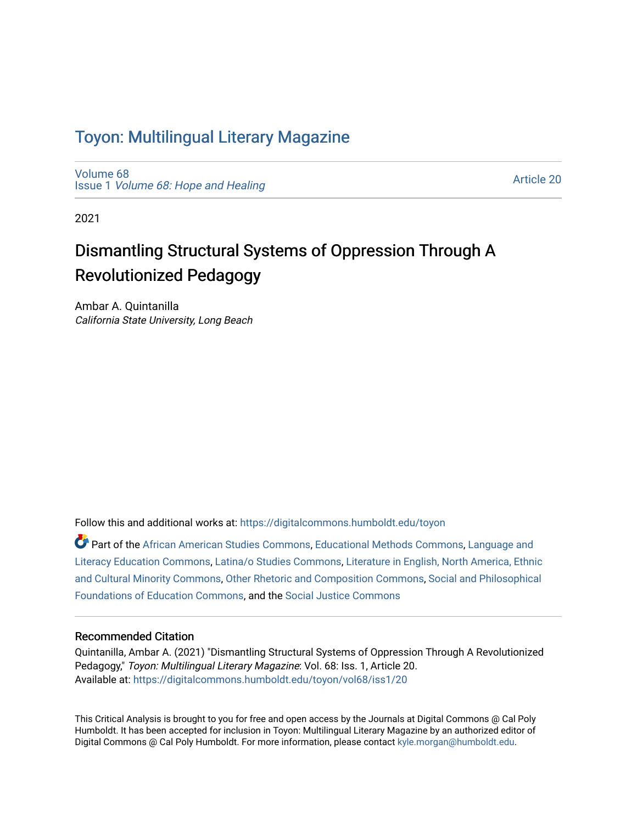### Toyon: Multilingual Literar[y](https://digitalcommons.humboldt.edu/toyon) Magazine

[Volume 68](https://digitalcommons.humboldt.edu/toyon/vol68) Issue 1 [Volume 68: Hope and Healing](https://digitalcommons.humboldt.edu/toyon/vol68/iss1) 

[Article 20](https://digitalcommons.humboldt.edu/toyon/vol68/iss1/20) 

2021

# Dismantling Structural Systems of Oppression Through A Revolutionized Pedagogy

Ambar A. Quintanilla California State University, Long Beach

Follow this and additional works at: [https://digitalcommons.humboldt.edu/toyon](https://digitalcommons.humboldt.edu/toyon?utm_source=digitalcommons.humboldt.edu%2Ftoyon%2Fvol68%2Fiss1%2F20&utm_medium=PDF&utm_campaign=PDFCoverPages)

Part of the [African American Studies Commons,](http://network.bepress.com/hgg/discipline/567?utm_source=digitalcommons.humboldt.edu%2Ftoyon%2Fvol68%2Fiss1%2F20&utm_medium=PDF&utm_campaign=PDFCoverPages) [Educational Methods Commons,](http://network.bepress.com/hgg/discipline/1227?utm_source=digitalcommons.humboldt.edu%2Ftoyon%2Fvol68%2Fiss1%2F20&utm_medium=PDF&utm_campaign=PDFCoverPages) [Language and](http://network.bepress.com/hgg/discipline/1380?utm_source=digitalcommons.humboldt.edu%2Ftoyon%2Fvol68%2Fiss1%2F20&utm_medium=PDF&utm_campaign=PDFCoverPages)  [Literacy Education Commons](http://network.bepress.com/hgg/discipline/1380?utm_source=digitalcommons.humboldt.edu%2Ftoyon%2Fvol68%2Fiss1%2F20&utm_medium=PDF&utm_campaign=PDFCoverPages), [Latina/o Studies Commons](http://network.bepress.com/hgg/discipline/1315?utm_source=digitalcommons.humboldt.edu%2Ftoyon%2Fvol68%2Fiss1%2F20&utm_medium=PDF&utm_campaign=PDFCoverPages), [Literature in English, North America, Ethnic](http://network.bepress.com/hgg/discipline/459?utm_source=digitalcommons.humboldt.edu%2Ftoyon%2Fvol68%2Fiss1%2F20&utm_medium=PDF&utm_campaign=PDFCoverPages)  [and Cultural Minority Commons,](http://network.bepress.com/hgg/discipline/459?utm_source=digitalcommons.humboldt.edu%2Ftoyon%2Fvol68%2Fiss1%2F20&utm_medium=PDF&utm_campaign=PDFCoverPages) [Other Rhetoric and Composition Commons,](http://network.bepress.com/hgg/discipline/576?utm_source=digitalcommons.humboldt.edu%2Ftoyon%2Fvol68%2Fiss1%2F20&utm_medium=PDF&utm_campaign=PDFCoverPages) [Social and Philosophical](http://network.bepress.com/hgg/discipline/799?utm_source=digitalcommons.humboldt.edu%2Ftoyon%2Fvol68%2Fiss1%2F20&utm_medium=PDF&utm_campaign=PDFCoverPages)  [Foundations of Education Commons](http://network.bepress.com/hgg/discipline/799?utm_source=digitalcommons.humboldt.edu%2Ftoyon%2Fvol68%2Fiss1%2F20&utm_medium=PDF&utm_campaign=PDFCoverPages), and the [Social Justice Commons](http://network.bepress.com/hgg/discipline/1432?utm_source=digitalcommons.humboldt.edu%2Ftoyon%2Fvol68%2Fiss1%2F20&utm_medium=PDF&utm_campaign=PDFCoverPages) 

#### Recommended Citation

Quintanilla, Ambar A. (2021) "Dismantling Structural Systems of Oppression Through A Revolutionized Pedagogy," Toyon: Multilingual Literary Magazine: Vol. 68: Iss. 1, Article 20. Available at: [https://digitalcommons.humboldt.edu/toyon/vol68/iss1/20](https://digitalcommons.humboldt.edu/toyon/vol68/iss1/20?utm_source=digitalcommons.humboldt.edu%2Ftoyon%2Fvol68%2Fiss1%2F20&utm_medium=PDF&utm_campaign=PDFCoverPages) 

This Critical Analysis is brought to you for free and open access by the Journals at Digital Commons @ Cal Poly Humboldt. It has been accepted for inclusion in Toyon: Multilingual Literary Magazine by an authorized editor of Digital Commons @ Cal Poly Humboldt. For more information, please contact [kyle.morgan@humboldt.edu.](mailto:kyle.morgan@humboldt.edu)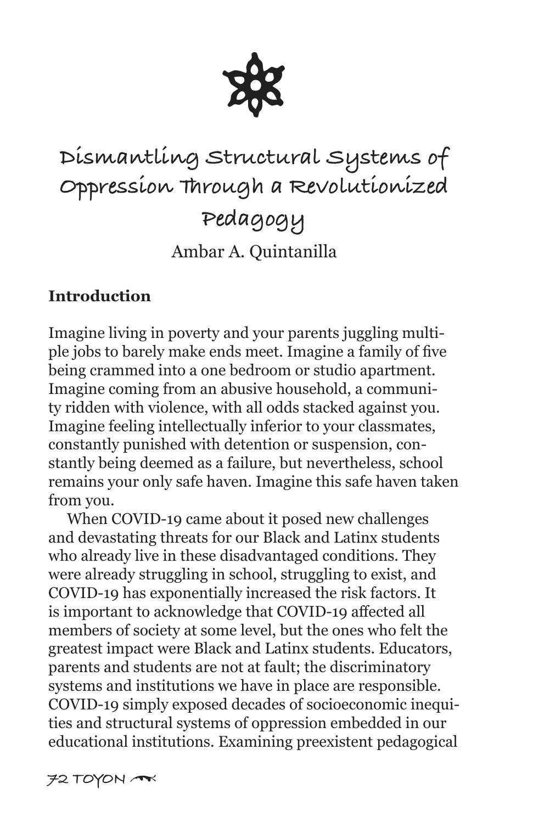

# **Dismantling Structural Systems of Oppression Through a Revolutionized Pedagogy** Ambar A. Quintanilla

#### **Introduction**

Imagine living in poverty and your parents juggling multiple jobs to barely make ends meet. Imagine a family of five being crammed into a one bedroom or studio apartment. Imagine coming from an abusive household, a community ridden with violence, with all odds stacked against you. Imagine feeling intellectually inferior to your classmates, constantly punished with detention or suspension, constantly being deemed as a failure, but nevertheless, school remains your only safe haven. Imagine this safe haven taken from you.

 When COVID-19 came about it posed new challenges and devastating threats for our Black and Latinx students who already live in these disadvantaged conditions. They were already struggling in school, struggling to exist, and COVID-19 has exponentially increased the risk factors. It is important to acknowledge that COVID-19 affected all members of society at some level, but the ones who felt the greatest impact were Black and Latinx students. Educators, parents and students are not at fault; the discriminatory systems and institutions we have in place are responsible. COVID-19 simply exposed decades of socioeconomic inequities and structural systems of oppression embedded in our educational institutions. Examining preexistent pedagogical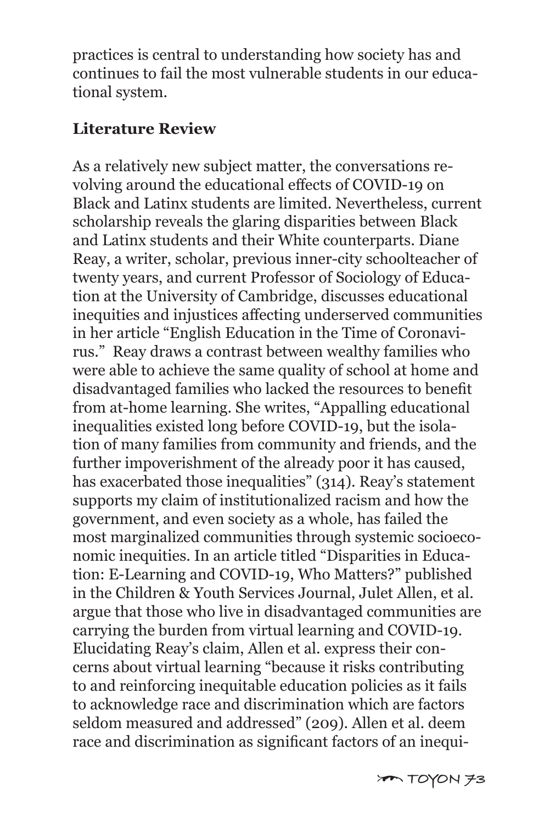practices is central to understanding how society has and continues to fail the most vulnerable students in our educational system.

#### **Literature Review**

As a relatively new subject matter, the conversations revolving around the educational effects of COVID-19 on Black and Latinx students are limited. Nevertheless, current scholarship reveals the glaring disparities between Black and Latinx students and their White counterparts. Diane Reay, a writer, scholar, previous inner-city schoolteacher of twenty years, and current Professor of Sociology of Education at the University of Cambridge, discusses educational inequities and injustices affecting underserved communities in her article "English Education in the Time of Coronavirus." Reay draws a contrast between wealthy families who were able to achieve the same quality of school at home and disadvantaged families who lacked the resources to benefit from at-home learning. She writes, "Appalling educational inequalities existed long before COVID-19, but the isolation of many families from community and friends, and the further impoverishment of the already poor it has caused, has exacerbated those inequalities" (314). Reay's statement supports my claim of institutionalized racism and how the government, and even society as a whole, has failed the most marginalized communities through systemic socioeconomic inequities. In an article titled "Disparities in Education: E-Learning and COVID-19, Who Matters?" published in the Children & Youth Services Journal, Julet Allen, et al. argue that those who live in disadvantaged communities are carrying the burden from virtual learning and COVID-19. Elucidating Reay's claim, Allen et al. express their concerns about virtual learning "because it risks contributing to and reinforcing inequitable education policies as it fails to acknowledge race and discrimination which are factors seldom measured and addressed" (209). Allen et al. deem race and discrimination as significant factors of an inequi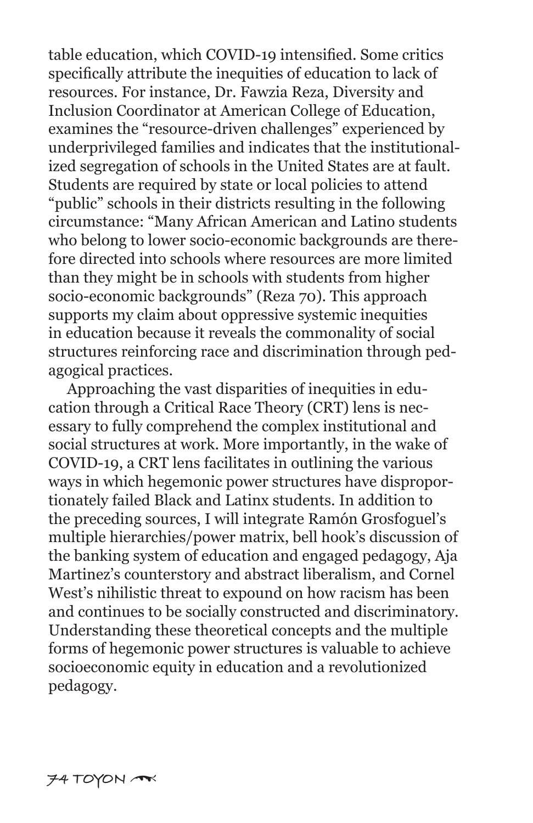table education, which COVID-19 intensified. Some critics specifically attribute the inequities of education to lack of resources. For instance, Dr. Fawzia Reza, Diversity and Inclusion Coordinator at American College of Education, examines the "resource-driven challenges" experienced by underprivileged families and indicates that the institutionalized segregation of schools in the United States are at fault. Students are required by state or local policies to attend "public" schools in their districts resulting in the following circumstance: "Many African American and Latino students who belong to lower socio-economic backgrounds are therefore directed into schools where resources are more limited than they might be in schools with students from higher socio-economic backgrounds" (Reza 70). This approach supports my claim about oppressive systemic inequities in education because it reveals the commonality of social structures reinforcing race and discrimination through pedagogical practices.

 Approaching the vast disparities of inequities in education through a Critical Race Theory (CRT) lens is necessary to fully comprehend the complex institutional and social structures at work. More importantly, in the wake of COVID-19, a CRT lens facilitates in outlining the various ways in which hegemonic power structures have disproportionately failed Black and Latinx students. In addition to the preceding sources, I will integrate Ramón Grosfoguel's multiple hierarchies/power matrix, bell hook's discussion of the banking system of education and engaged pedagogy, Aja Martinez's counterstory and abstract liberalism, and Cornel West's nihilistic threat to expound on how racism has been and continues to be socially constructed and discriminatory. Understanding these theoretical concepts and the multiple forms of hegemonic power structures is valuable to achieve socioeconomic equity in education and a revolutionized pedagogy.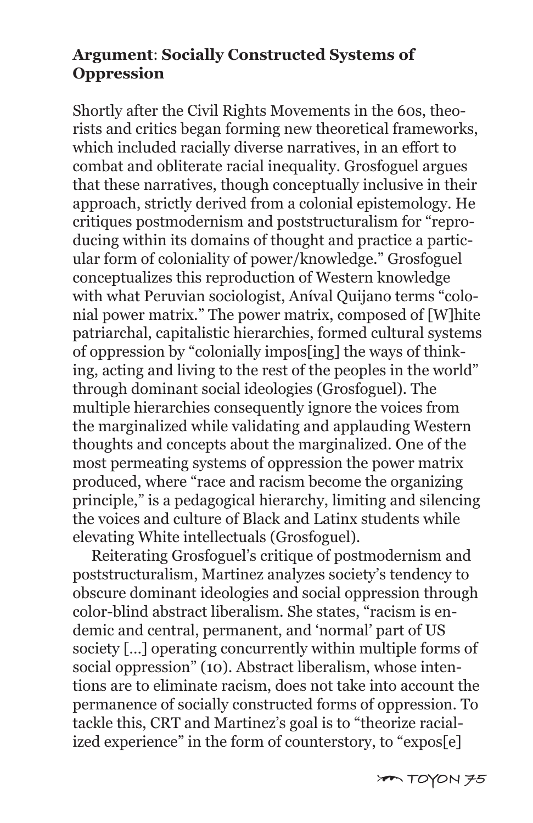#### **Argument**: **Socially Constructed Systems of Oppression**

Shortly after the Civil Rights Movements in the 60s, theorists and critics began forming new theoretical frameworks, which included racially diverse narratives, in an effort to combat and obliterate racial inequality. Grosfoguel argues that these narratives, though conceptually inclusive in their approach, strictly derived from a colonial epistemology. He critiques postmodernism and poststructuralism for "reproducing within its domains of thought and practice a particular form of coloniality of power/knowledge." Grosfoguel conceptualizes this reproduction of Western knowledge with what Peruvian sociologist, Aníval Quijano terms "colonial power matrix." The power matrix, composed of [W]hite patriarchal, capitalistic hierarchies, formed cultural systems of oppression by "colonially impos[ing] the ways of thinking, acting and living to the rest of the peoples in the world" through dominant social ideologies (Grosfoguel). The multiple hierarchies consequently ignore the voices from the marginalized while validating and applauding Western thoughts and concepts about the marginalized. One of the most permeating systems of oppression the power matrix produced, where "race and racism become the organizing principle," is a pedagogical hierarchy, limiting and silencing the voices and culture of Black and Latinx students while elevating White intellectuals (Grosfoguel).

 Reiterating Grosfoguel's critique of postmodernism and poststructuralism, Martinez analyzes society's tendency to obscure dominant ideologies and social oppression through color-blind abstract liberalism. She states, "racism is endemic and central, permanent, and 'normal' part of US society […] operating concurrently within multiple forms of social oppression" (10). Abstract liberalism, whose intentions are to eliminate racism, does not take into account the permanence of socially constructed forms of oppression. To tackle this, CRT and Martinez's goal is to "theorize racialized experience" in the form of counterstory, to "expos[e]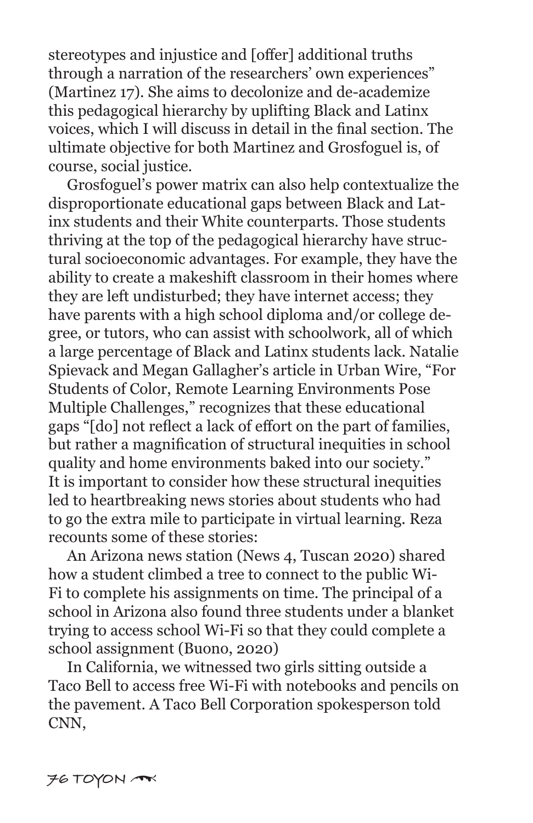stereotypes and injustice and [offer] additional truths through a narration of the researchers' own experiences" (Martinez 17). She aims to decolonize and de-academize this pedagogical hierarchy by uplifting Black and Latinx voices, which I will discuss in detail in the final section. The ultimate objective for both Martinez and Grosfoguel is, of course, social justice.

 Grosfoguel's power matrix can also help contextualize the disproportionate educational gaps between Black and Latinx students and their White counterparts. Those students thriving at the top of the pedagogical hierarchy have structural socioeconomic advantages. For example, they have the ability to create a makeshift classroom in their homes where they are left undisturbed; they have internet access; they have parents with a high school diploma and/or college degree, or tutors, who can assist with schoolwork, all of which a large percentage of Black and Latinx students lack. Natalie Spievack and Megan Gallagher's article in Urban Wire, "For Students of Color, Remote Learning Environments Pose Multiple Challenges," recognizes that these educational gaps "[do] not reflect a lack of effort on the part of families, but rather a magnification of structural inequities in school quality and home environments baked into our society." It is important to consider how these structural inequities led to heartbreaking news stories about students who had to go the extra mile to participate in virtual learning. Reza recounts some of these stories:

 An Arizona news station (News 4, Tuscan 2020) shared how a student climbed a tree to connect to the public Wi-Fi to complete his assignments on time. The principal of a school in Arizona also found three students under a blanket trying to access school Wi-Fi so that they could complete a school assignment (Buono, 2020)

 In California, we witnessed two girls sitting outside a Taco Bell to access free Wi-Fi with notebooks and pencils on the pavement. A Taco Bell Corporation spokesperson told CNN,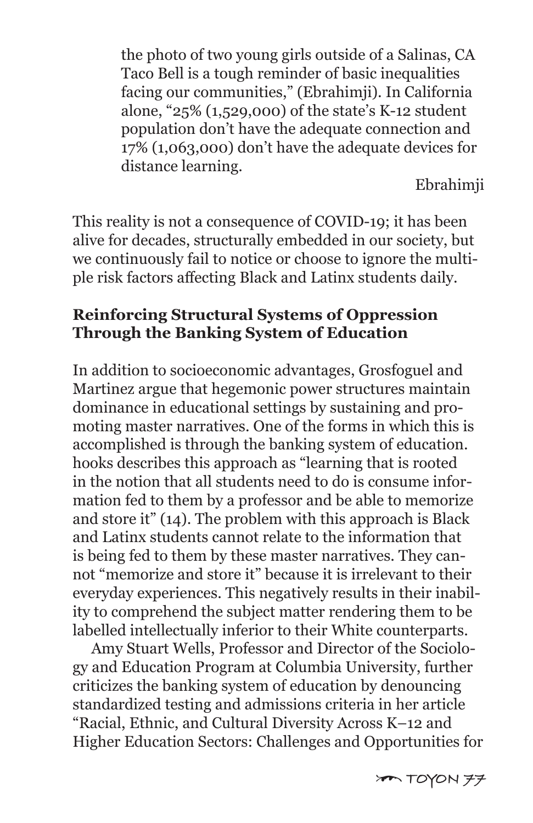the photo of two young girls outside of a Salinas, CA Taco Bell is a tough reminder of basic inequalities facing our communities," (Ebrahimji). In California alone, "25% (1,529,000) of the state's K-12 student population don't have the adequate connection and 17% (1,063,000) don't have the adequate devices for distance learning.

Ebrahimji

This reality is not a consequence of COVID-19; it has been alive for decades, structurally embedded in our society, but we continuously fail to notice or choose to ignore the multiple risk factors affecting Black and Latinx students daily.

### **Reinforcing Structural Systems of Oppression Through the Banking System of Education**

In addition to socioeconomic advantages, Grosfoguel and Martinez argue that hegemonic power structures maintain dominance in educational settings by sustaining and promoting master narratives. One of the forms in which this is accomplished is through the banking system of education. hooks describes this approach as "learning that is rooted in the notion that all students need to do is consume information fed to them by a professor and be able to memorize and store it" (14). The problem with this approach is Black and Latinx students cannot relate to the information that is being fed to them by these master narratives. They cannot "memorize and store it" because it is irrelevant to their everyday experiences. This negatively results in their inability to comprehend the subject matter rendering them to be labelled intellectually inferior to their White counterparts.

 Amy Stuart Wells, Professor and Director of the Sociology and Education Program at Columbia University, further criticizes the banking system of education by denouncing standardized testing and admissions criteria in her article "Racial, Ethnic, and Cultural Diversity Across K–12 and Higher Education Sectors: Challenges and Opportunities for

[ **TOYON 77**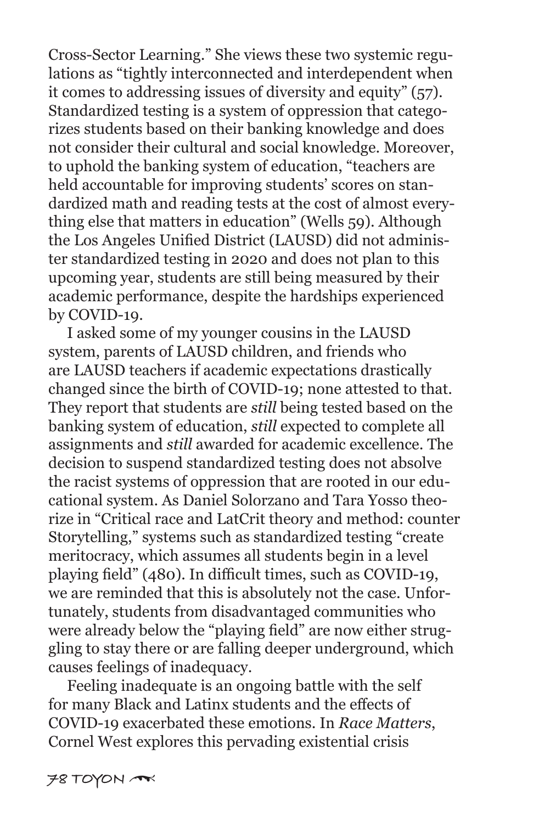Cross-Sector Learning." She views these two systemic regulations as "tightly interconnected and interdependent when it comes to addressing issues of diversity and equity" (57). Standardized testing is a system of oppression that categorizes students based on their banking knowledge and does not consider their cultural and social knowledge. Moreover, to uphold the banking system of education, "teachers are held accountable for improving students' scores on standardized math and reading tests at the cost of almost everything else that matters in education" (Wells 59). Although the Los Angeles Unified District (LAUSD) did not administer standardized testing in 2020 and does not plan to this upcoming year, students are still being measured by their academic performance, despite the hardships experienced by COVID-19.

 I asked some of my younger cousins in the LAUSD system, parents of LAUSD children, and friends who are LAUSD teachers if academic expectations drastically changed since the birth of COVID-19; none attested to that. They report that students are *still* being tested based on the banking system of education, *still* expected to complete all assignments and *still* awarded for academic excellence. The decision to suspend standardized testing does not absolve the racist systems of oppression that are rooted in our educational system. As Daniel Solorzano and Tara Yosso theorize in "Critical race and LatCrit theory and method: counter Storytelling," systems such as standardized testing "create meritocracy, which assumes all students begin in a level playing field" (480). In difficult times, such as COVID-19, we are reminded that this is absolutely not the case. Unfortunately, students from disadvantaged communities who were already below the "playing field" are now either struggling to stay there or are falling deeper underground, which causes feelings of inadequacy.

 Feeling inadequate is an ongoing battle with the self for many Black and Latinx students and the effects of COVID-19 exacerbated these emotions. In *Race Matters*, Cornel West explores this pervading existential crisis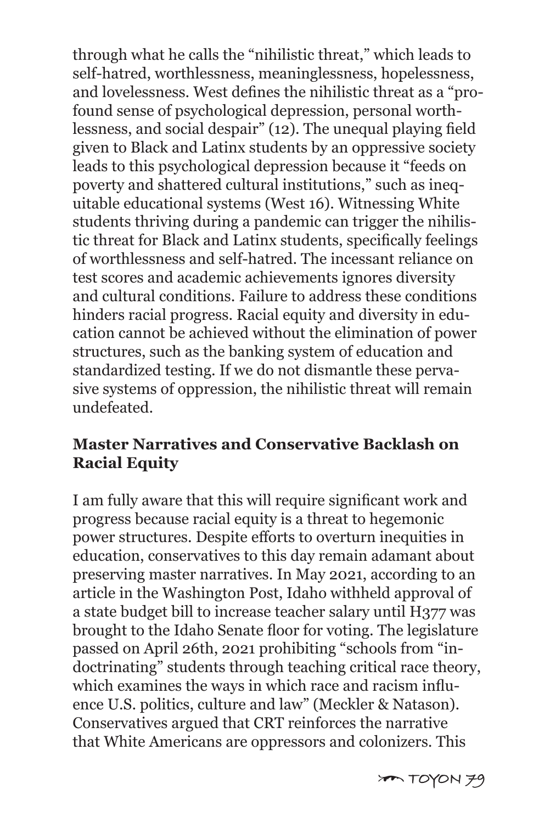through what he calls the "nihilistic threat," which leads to self-hatred, worthlessness, meaninglessness, hopelessness, and lovelessness. West defines the nihilistic threat as a "profound sense of psychological depression, personal worthlessness, and social despair" (12). The unequal playing field given to Black and Latinx students by an oppressive society leads to this psychological depression because it "feeds on poverty and shattered cultural institutions," such as inequitable educational systems (West 16). Witnessing White students thriving during a pandemic can trigger the nihilistic threat for Black and Latinx students, specifically feelings of worthlessness and self-hatred. The incessant reliance on test scores and academic achievements ignores diversity and cultural conditions. Failure to address these conditions hinders racial progress. Racial equity and diversity in education cannot be achieved without the elimination of power structures, such as the banking system of education and standardized testing. If we do not dismantle these pervasive systems of oppression, the nihilistic threat will remain undefeated.

#### **Master Narratives and Conservative Backlash on Racial Equity**

I am fully aware that this will require significant work and progress because racial equity is a threat to hegemonic power structures. Despite efforts to overturn inequities in education, conservatives to this day remain adamant about preserving master narratives. In May 2021, according to an article in the Washington Post, Idaho withheld approval of a state budget bill to increase teacher salary until H377 was brought to the Idaho Senate floor for voting. The legislature passed on April 26th, 2021 prohibiting "schools from "indoctrinating" students through teaching critical race theory, which examines the ways in which race and racism influence U.S. politics, culture and law" (Meckler & Natason). Conservatives argued that CRT reinforces the narrative that White Americans are oppressors and colonizers. This

[ **TOYON 79**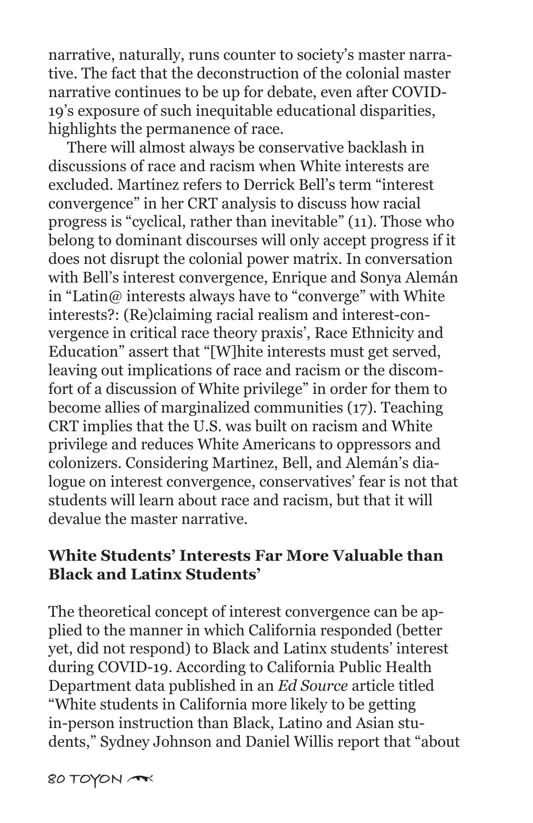narrative, naturally, runs counter to society's master narrative. The fact that the deconstruction of the colonial master narrative continues to be up for debate, even after COVID-19's exposure of such inequitable educational disparities, highlights the permanence of race.

 There will almost always be conservative backlash in discussions of race and racism when White interests are excluded. Martinez refers to Derrick Bell's term "interest convergence" in her CRT analysis to discuss how racial progress is "cyclical, rather than inevitable" (11). Those who belong to dominant discourses will only accept progress if it does not disrupt the colonial power matrix. In conversation with Bell's interest convergence, Enrique and Sonya Alemán in "Latin@ interests always have to "converge" with White interests?: (Re)claiming racial realism and interest-convergence in critical race theory praxis', Race Ethnicity and Education" assert that "[W]hite interests must get served, leaving out implications of race and racism or the discomfort of a discussion of White privilege" in order for them to become allies of marginalized communities (17). Teaching CRT implies that the U.S. was built on racism and White privilege and reduces White Americans to oppressors and colonizers. Considering Martinez, Bell, and Alemán's dialogue on interest convergence, conservatives' fear is not that students will learn about race and racism, but that it will devalue the master narrative.

#### **White Students' Interests Far More Valuable than Black and Latinx Students'**

The theoretical concept of interest convergence can be applied to the manner in which California responded (better yet, did not respond) to Black and Latinx students' interest during COVID-19. According to California Public Health Department data published in an *Ed Source* article titled "White students in California more likely to be getting in-person instruction than Black, Latino and Asian students," Sydney Johnson and Daniel Willis report that "about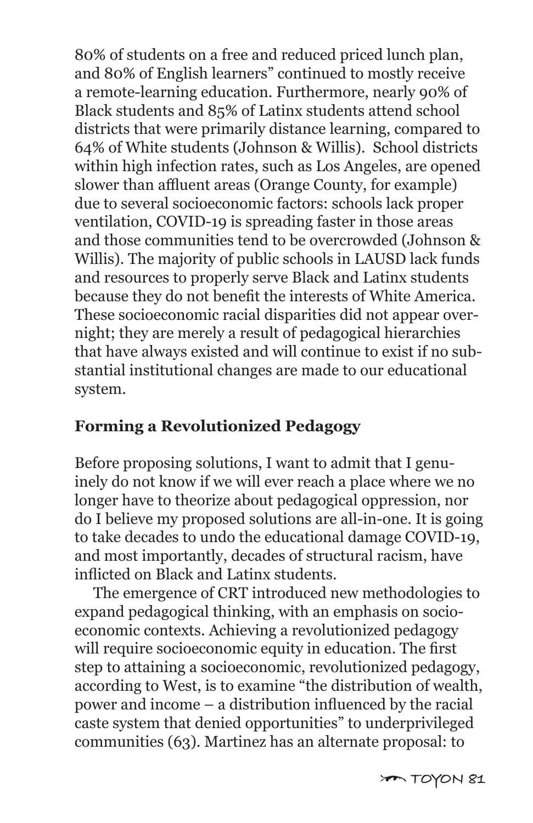80% of students on a free and reduced priced lunch plan, and 80% of English learners" continued to mostly receive a remote-learning education. Furthermore, nearly 90% of Black students and 85% of Latinx students attend school districts that were primarily distance learning, compared to 64% of White students (Johnson & Willis). School districts within high infection rates, such as Los Angeles, are opened slower than affluent areas (Orange County, for example) due to several socioeconomic factors: schools lack proper ventilation, COVID-19 is spreading faster in those areas and those communities tend to be overcrowded (Johnson & Willis). The majority of public schools in LAUSD lack funds and resources to properly serve Black and Latinx students because they do not benefit the interests of White America. These socioeconomic racial disparities did not appear overnight; they are merely a result of pedagogical hierarchies that have always existed and will continue to exist if no substantial institutional changes are made to our educational system.

### **Forming a Revolutionized Pedagogy**

Before proposing solutions, I want to admit that I genuinely do not know if we will ever reach a place where we no longer have to theorize about pedagogical oppression, nor do I believe my proposed solutions are all-in-one. It is going to take decades to undo the educational damage COVID-19, and most importantly, decades of structural racism, have inflicted on Black and Latinx students.

 The emergence of CRT introduced new methodologies to expand pedagogical thinking, with an emphasis on socioeconomic contexts. Achieving a revolutionized pedagogy will require socioeconomic equity in education. The first step to attaining a socioeconomic, revolutionized pedagogy, according to West, is to examine "the distribution of wealth, power and income – a distribution influenced by the racial caste system that denied opportunities" to underprivileged communities (63). Martinez has an alternate proposal: to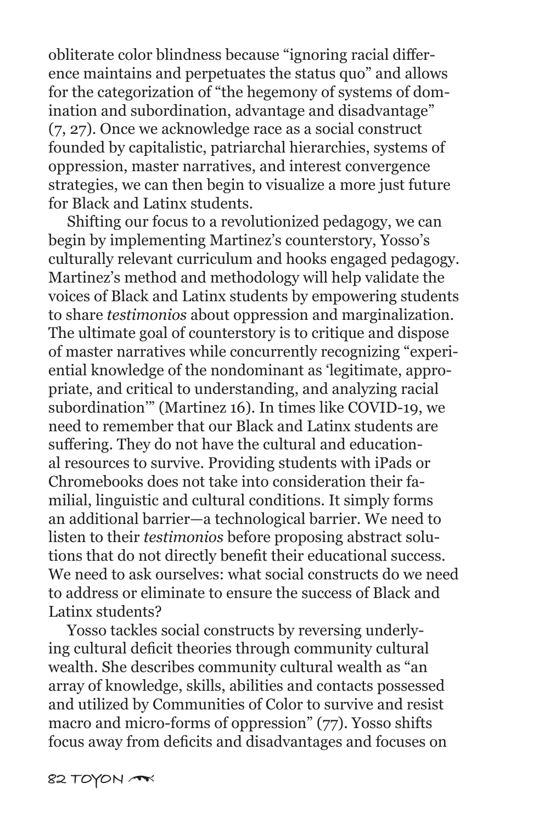obliterate color blindness because "ignoring racial difference maintains and perpetuates the status quo" and allows for the categorization of "the hegemony of systems of domination and subordination, advantage and disadvantage" (7, 27). Once we acknowledge race as a social construct founded by capitalistic, patriarchal hierarchies, systems of oppression, master narratives, and interest convergence strategies, we can then begin to visualize a more just future for Black and Latinx students.

 Shifting our focus to a revolutionized pedagogy, we can begin by implementing Martinez's counterstory, Yosso's culturally relevant curriculum and hooks engaged pedagogy. Martinez's method and methodology will help validate the voices of Black and Latinx students by empowering students to share *testimonios* about oppression and marginalization. The ultimate goal of counterstory is to critique and dispose of master narratives while concurrently recognizing "experiential knowledge of the nondominant as 'legitimate, appropriate, and critical to understanding, and analyzing racial subordination'" (Martinez 16). In times like COVID-19, we need to remember that our Black and Latinx students are suffering. They do not have the cultural and educational resources to survive. Providing students with iPads or Chromebooks does not take into consideration their familial, linguistic and cultural conditions. It simply forms an additional barrier—a technological barrier. We need to listen to their *testimonios* before proposing abstract solutions that do not directly benefit their educational success. We need to ask ourselves: what social constructs do we need to address or eliminate to ensure the success of Black and Latinx students?

 Yosso tackles social constructs by reversing underlying cultural deficit theories through community cultural wealth. She describes community cultural wealth as "an array of knowledge, skills, abilities and contacts possessed and utilized by Communities of Color to survive and resist macro and micro-forms of oppression" (77). Yosso shifts focus away from deficits and disadvantages and focuses on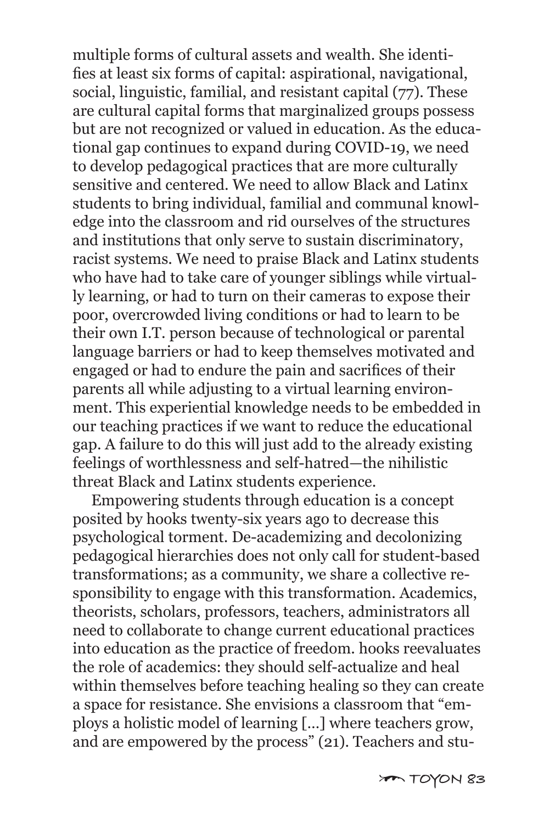multiple forms of cultural assets and wealth. She identifies at least six forms of capital: aspirational, navigational, social, linguistic, familial, and resistant capital (77). These are cultural capital forms that marginalized groups possess but are not recognized or valued in education. As the educational gap continues to expand during COVID-19, we need to develop pedagogical practices that are more culturally sensitive and centered. We need to allow Black and Latinx students to bring individual, familial and communal knowledge into the classroom and rid ourselves of the structures and institutions that only serve to sustain discriminatory, racist systems. We need to praise Black and Latinx students who have had to take care of younger siblings while virtually learning, or had to turn on their cameras to expose their poor, overcrowded living conditions or had to learn to be their own I.T. person because of technological or parental language barriers or had to keep themselves motivated and engaged or had to endure the pain and sacrifices of their parents all while adjusting to a virtual learning environment. This experiential knowledge needs to be embedded in our teaching practices if we want to reduce the educational gap. A failure to do this will just add to the already existing feelings of worthlessness and self-hatred—the nihilistic threat Black and Latinx students experience.

 Empowering students through education is a concept posited by hooks twenty-six years ago to decrease this psychological torment. De-academizing and decolonizing pedagogical hierarchies does not only call for student-based transformations; as a community, we share a collective responsibility to engage with this transformation. Academics, theorists, scholars, professors, teachers, administrators all need to collaborate to change current educational practices into education as the practice of freedom. hooks reevaluates the role of academics: they should self-actualize and heal within themselves before teaching healing so they can create a space for resistance. She envisions a classroom that "employs a holistic model of learning […] where teachers grow, and are empowered by the process" (21). Teachers and stu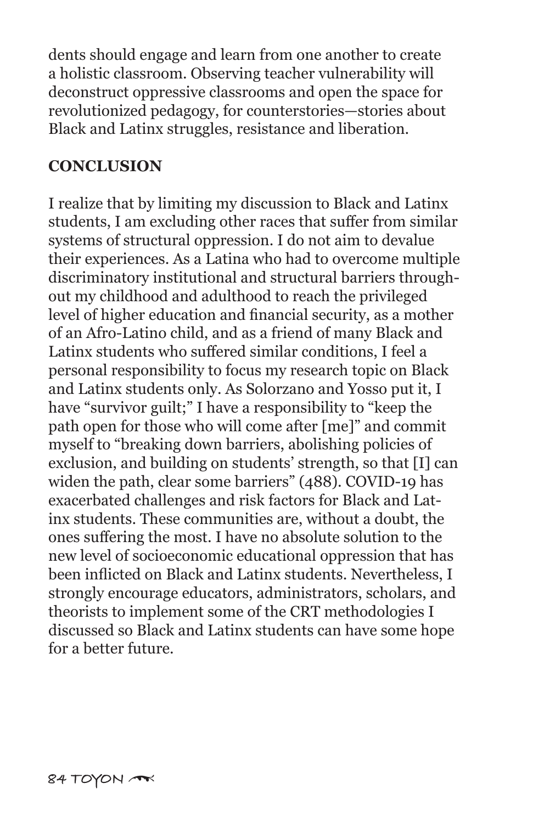dents should engage and learn from one another to create a holistic classroom. Observing teacher vulnerability will deconstruct oppressive classrooms and open the space for revolutionized pedagogy, for counterstories—stories about Black and Latinx struggles, resistance and liberation.

#### **CONCLUSION**

I realize that by limiting my discussion to Black and Latinx students, I am excluding other races that suffer from similar systems of structural oppression. I do not aim to devalue their experiences. As a Latina who had to overcome multiple discriminatory institutional and structural barriers throughout my childhood and adulthood to reach the privileged level of higher education and financial security, as a mother of an Afro-Latino child, and as a friend of many Black and Latinx students who suffered similar conditions, I feel a personal responsibility to focus my research topic on Black and Latinx students only. As Solorzano and Yosso put it, I have "survivor guilt;" I have a responsibility to "keep the path open for those who will come after [me]" and commit myself to "breaking down barriers, abolishing policies of exclusion, and building on students' strength, so that [I] can widen the path, clear some barriers" (488). COVID-19 has exacerbated challenges and risk factors for Black and Latinx students. These communities are, without a doubt, the ones suffering the most. I have no absolute solution to the new level of socioeconomic educational oppression that has been inflicted on Black and Latinx students. Nevertheless, I strongly encourage educators, administrators, scholars, and theorists to implement some of the CRT methodologies I discussed so Black and Latinx students can have some hope for a better future.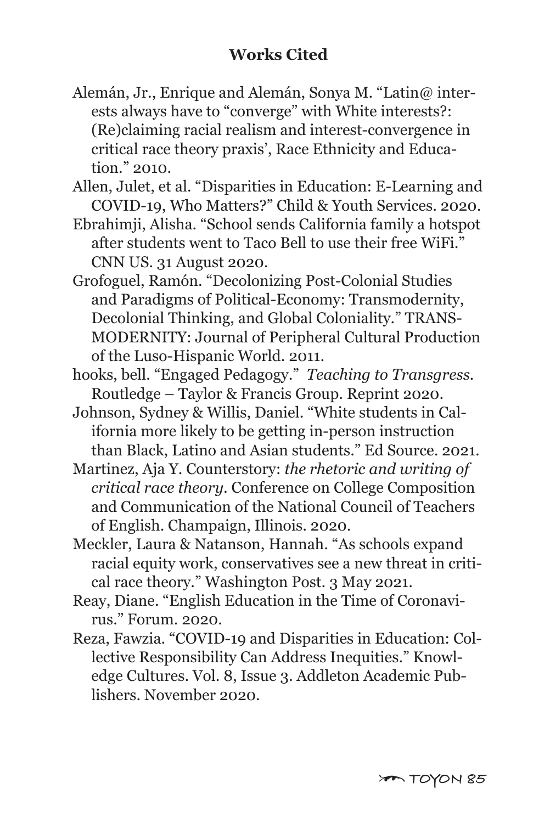- Alemán, Jr., Enrique and Alemán, Sonya M. "Latin@ inter ests always have to "converge" with White interests?: (Re)claiming racial realism and interest-convergence in critical race theory praxis', Race Ethnicity and Educa tion." 2010.
- Allen, Julet, et al. "Disparities in Education: E-Learning and COVID-19, Who Matters?" Child & Youth Services. 2020.
- Ebrahimji, Alisha. "School sends California family a hotspot after students went to Taco Bell to use their free WiFi." CNN US. 31 August 2020.
- Grofoguel, Ramón. "Decolonizing Post-Colonial Studies and Paradigms of Political-Economy: Transmodernity, Decolonial Thinking, and Global Coloniality." TRANS- MODERNITY: Journal of Peripheral Cultural Production of the Luso-Hispanic World. 2011.
- hooks, bell. "Engaged Pedagogy." *Teaching to Transgress.* Routledge – Taylor & Francis Group. Reprint 2020.
- Johnson, Sydney & Willis, Daniel. "White students in Cal ifornia more likely to be getting in-person instruction than Black, Latino and Asian students." Ed Source. 2021.
- Martinez, Aja Y. Counterstory: *the rhetoric and writing of critical race theory.* Conference on College Composition and Communication of the National Council of Teachers of English. Champaign, Illinois. 2020.
- Meckler, Laura & Natanson, Hannah. "As schools expand racial equity work, conservatives see a new threat in criti cal race theory." Washington Post. 3 May 2021.
- Reay, Diane. "English Education in the Time of Coronavi rus." Forum. 2020.
- Reza, Fawzia. "COVID-19 and Disparities in Education: Col lective Responsibility Can Address Inequities." Knowl edge Cultures. Vol. 8, Issue 3. Addleton Academic Pub lishers. November 2020.